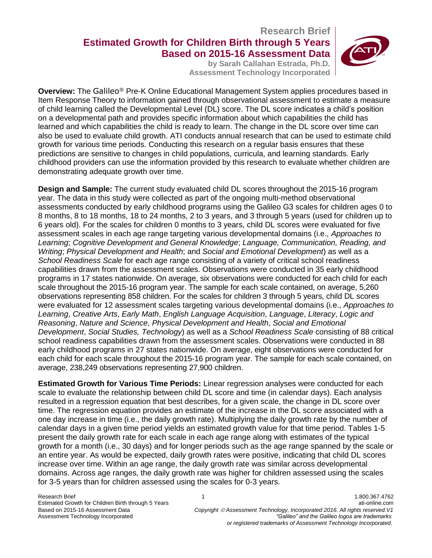# **Research Brief Estimated Growth for Children Birth through 5 Years Based on 2015-16 Assessment Data**

**by Sarah Callahan Estrada, Ph.D. Assessment Technology Incorporated**



**Overview:** The Galileo® Pre-K Online Educational Management System applies procedures based in Item Response Theory to information gained through observational assessment to estimate a measure of child learning called the Developmental Level (DL) score. The DL score indicates a child's position on a developmental path and provides specific information about which capabilities the child has learned and which capabilities the child is ready to learn. The change in the DL score over time can also be used to evaluate child growth. ATI conducts annual research that can be used to estimate child growth for various time periods. Conducting this research on a regular basis ensures that these predictions are sensitive to changes in child populations, curricula, and learning standards. Early childhood providers can use the information provided by this research to evaluate whether children are demonstrating adequate growth over time.

**Design and Sample:** The current study evaluated child DL scores throughout the 2015-16 program year. The data in this study were collected as part of the ongoing multi-method observational assessments conducted by early childhood programs using the Galileo G3 scales for children ages 0 to 8 months, 8 to 18 months, 18 to 24 months, 2 to 3 years, and 3 through 5 years (used for children up to 6 years old). For the scales for children 0 months to 3 years, child DL scores were evaluated for five assessment scales in each age range targeting various developmental domains (i.e., *Approaches to Learning*; *Cognitive Development and General Knowledge*; *Language, Communication, Reading, and Writing*; *Physical Development and Health*; and *Social and Emotional Development*) as well as a *School Readiness Scale* for each age range consisting of a variety of critical school readiness capabilities drawn from the assessment scales. Observations were conducted in 35 early childhood programs in 17 states nationwide. On average, six observations were conducted for each child for each scale throughout the 2015-16 program year. The sample for each scale contained, on average, 5,260 observations representing 858 children. For the scales for children 3 through 5 years, child DL scores were evaluated for 12 assessment scales targeting various developmental domains (i.e., *Approaches to Learning*, *Creative Arts*, *Early Math*, *English Language Acquisition*, *Language*, *Literacy*, *Logic and Reasoning*, *Nature and Science*, *Physical Development and Health*, *Social and Emotional Development*, *Social Studies, Technology*) as well as a *School Readiness Scale* consisting of 88 critical school readiness capabilities drawn from the assessment scales. Observations were conducted in 88 early childhood programs in 27 states nationwide. On average, eight observations were conducted for each child for each scale throughout the 2015-16 program year. The sample for each scale contained, on average, 238,249 observations representing 27,900 children.

**Estimated Growth for Various Time Periods:** Linear regression analyses were conducted for each scale to evaluate the relationship between child DL score and time (in calendar days). Each analysis resulted in a regression equation that best describes, for a given scale, the change in DL score over time. The regression equation provides an estimate of the increase in the DL score associated with a one day increase in time (i.e., the daily growth rate). Multiplying the daily growth rate by the number of calendar days in a given time period yields an estimated growth value for that time period. Tables 1-5 present the daily growth rate for each scale in each age range along with estimates of the typical growth for a month (i.e., 30 days) and for longer periods such as the age range spanned by the scale or an entire year. As would be expected, daily growth rates were positive, indicating that child DL scores increase over time. Within an age range, the daily growth rate was similar across developmental domains. Across age ranges, the daily growth rate was higher for children assessed using the scales for 3-5 years than for children assessed using the scales for 0-3 years.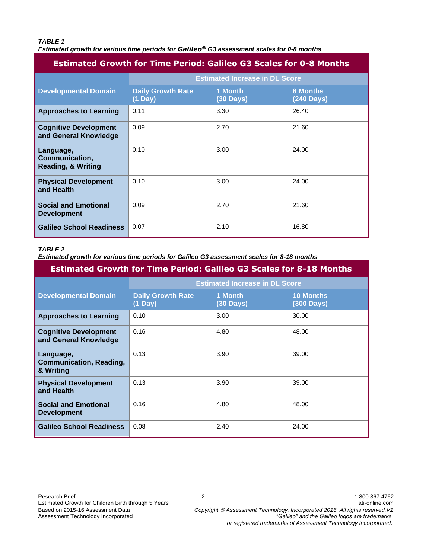#### *TABLE 1*

*Estimated growth for various time periods for Galileo® G3 assessment scales for 0-8 months*

| <b>Estimated Growth for Time Period: Galileo G3 Scales for 0-8 Months</b> |                                               |                      |                               |
|---------------------------------------------------------------------------|-----------------------------------------------|----------------------|-------------------------------|
|                                                                           | <b>Estimated Increase in DL Score</b>         |                      |                               |
| <b>Developmental Domain</b>                                               | <b>Daily Growth Rate</b><br>$(1 \text{ Day})$ | 1 Month<br>(30 Days) | <b>8 Months</b><br>(240 Days) |
| <b>Approaches to Learning</b>                                             | 0.11                                          | 3.30                 | 26.40                         |
| <b>Cognitive Development</b><br>and General Knowledge                     | 0.09                                          | 2.70                 | 21.60                         |
| Language,<br>Communication,<br><b>Reading, &amp; Writing</b>              | 0.10                                          | 3.00                 | 24.00                         |
| <b>Physical Development</b><br>and Health                                 | 0.10                                          | 3.00                 | 24.00                         |
| <b>Social and Emotional</b><br><b>Development</b>                         | 0.09                                          | 2.70                 | 21.60                         |
| <b>Galileo School Readiness</b>                                           | 0.07                                          | 2.10                 | 16.80                         |

#### *TABLE 2*

*Estimated growth for various time periods for Galileo G3 assessment scales for 8-18 months*

| <b>Estimated Growth for Time Period: Galileo G3 Scales for 8-18 Months</b> |                                       |                                |                                |
|----------------------------------------------------------------------------|---------------------------------------|--------------------------------|--------------------------------|
|                                                                            | <b>Estimated Increase in DL Score</b> |                                |                                |
| <b>Developmental Domain</b>                                                | <b>Daily Growth Rate</b><br>(1 Day)   | 1 Month<br>$(30 \text{ Days})$ | <b>10 Months</b><br>(300 Days) |
| <b>Approaches to Learning</b>                                              | 0.10                                  | 3.00                           | 30.00                          |
| <b>Cognitive Development</b><br>and General Knowledge                      | 0.16                                  | 4.80                           | 48.00                          |
| Language,<br><b>Communication, Reading,</b><br>& Writing                   | 0.13                                  | 3.90                           | 39.00                          |
| <b>Physical Development</b><br>and Health                                  | 0.13                                  | 3.90                           | 39.00                          |
| <b>Social and Emotional</b><br><b>Development</b>                          | 0.16                                  | 4.80                           | 48.00                          |
| <b>Galileo School Readiness</b>                                            | 0.08                                  | 2.40                           | 24.00                          |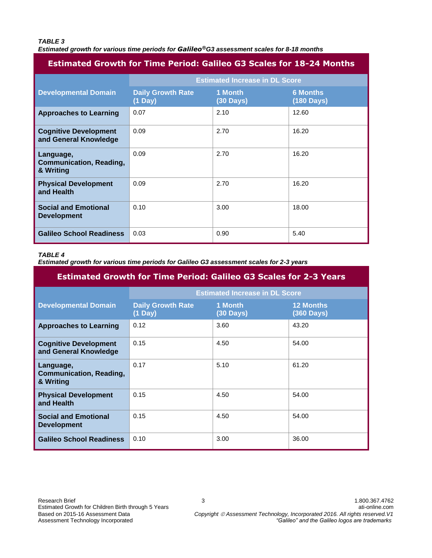#### *TABLE 3*

*Estimated growth for various time periods for Galileo®G3 assessment scales for 8-18 months*

## **Estimated Growth for Time Period: Galileo G3 Scales for 18-24 Months**

|                                                          | <b>Estimated Increase in DL Score</b>         |                                |                               |
|----------------------------------------------------------|-----------------------------------------------|--------------------------------|-------------------------------|
| <b>Developmental Domain</b>                              | <b>Daily Growth Rate</b><br>$(1 \text{ Day})$ | 1 Month<br>$(30 \text{ Days})$ | <b>6 Months</b><br>(180 Days) |
| <b>Approaches to Learning</b>                            | 0.07                                          | 2.10                           | 12.60                         |
| <b>Cognitive Development</b><br>and General Knowledge    | 0.09                                          | 2.70                           | 16.20                         |
| Language,<br><b>Communication, Reading,</b><br>& Writing | 0.09                                          | 2.70                           | 16.20                         |
| <b>Physical Development</b><br>and Health                | 0.09                                          | 2.70                           | 16.20                         |
| <b>Social and Emotional</b><br><b>Development</b>        | 0.10                                          | 3.00                           | 18.00                         |
| <b>Galileo School Readiness</b>                          | 0.03                                          | 0.90                           | 5.40                          |

#### *TABLE 4*

*Estimated growth for various time periods for Galileo G3 assessment scales for 2-3 years*

| <b>Estimated Growth for Time Period: Galileo G3 Scales for 2-3 Years</b> |                                               |                      |                                |
|--------------------------------------------------------------------------|-----------------------------------------------|----------------------|--------------------------------|
|                                                                          | <b>Estimated Increase in DL Score</b>         |                      |                                |
| <b>Developmental Domain</b>                                              | <b>Daily Growth Rate</b><br>$(1 \text{ Day})$ | 1 Month<br>(30 Days) | <b>12 Months</b><br>(360 Days) |
| <b>Approaches to Learning</b>                                            | 0.12                                          | 3.60                 | 43.20                          |
| <b>Cognitive Development</b><br>and General Knowledge                    | 0.15                                          | 4.50                 | 54.00                          |
| Language,<br><b>Communication, Reading,</b><br>& Writing                 | 0.17                                          | 5.10                 | 61.20                          |
| <b>Physical Development</b><br>and Health                                | 0.15                                          | 4.50                 | 54.00                          |
| <b>Social and Emotional</b><br><b>Development</b>                        | 0.15                                          | 4.50                 | 54.00                          |
| <b>Galileo School Readiness</b>                                          | 0.10                                          | 3.00                 | 36.00                          |